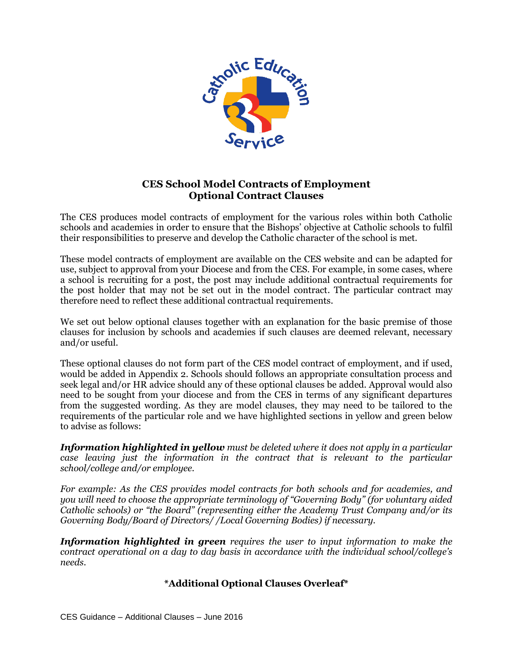

# **CES School Model Contracts of Employment Optional Contract Clauses**

The CES produces model contracts of employment for the various roles within both Catholic schools and academies in order to ensure that the Bishops' objective at Catholic schools to fulfil their responsibilities to preserve and develop the Catholic character of the school is met.

These model contracts of employment are available on the CES website and can be adapted for use, subject to approval from your Diocese and from the CES. For example, in some cases, where a school is recruiting for a post, the post may include additional contractual requirements for the post holder that may not be set out in the model contract. The particular contract may therefore need to reflect these additional contractual requirements.

We set out below optional clauses together with an explanation for the basic premise of those clauses for inclusion by schools and academies if such clauses are deemed relevant, necessary and/or useful.

These optional clauses do not form part of the CES model contract of employment, and if used, would be added in Appendix 2. Schools should follows an appropriate consultation process and seek legal and/or HR advice should any of these optional clauses be added. Approval would also need to be sought from your diocese and from the CES in terms of any significant departures from the suggested wording. As they are model clauses, they may need to be tailored to the requirements of the particular role and we have highlighted sections in yellow and green below to advise as follows:

*Information highlighted in yellow must be deleted where it does not apply in a particular case leaving just the information in the contract that is relevant to the particular school/college and/or employee.*

*For example: As the CES provides model contracts for both schools and for academies, and you will need to choose the appropriate terminology of "Governing Body" (for voluntary aided Catholic schools) or "the Board" (representing either the Academy Trust Company and/or its Governing Body/Board of Directors/ /Local Governing Bodies) if necessary.* 

*Information highlighted in green requires the user to input information to make the contract operational on a day to day basis in accordance with the individual school/college's needs.* 

## **\*Additional Optional Clauses Overleaf\***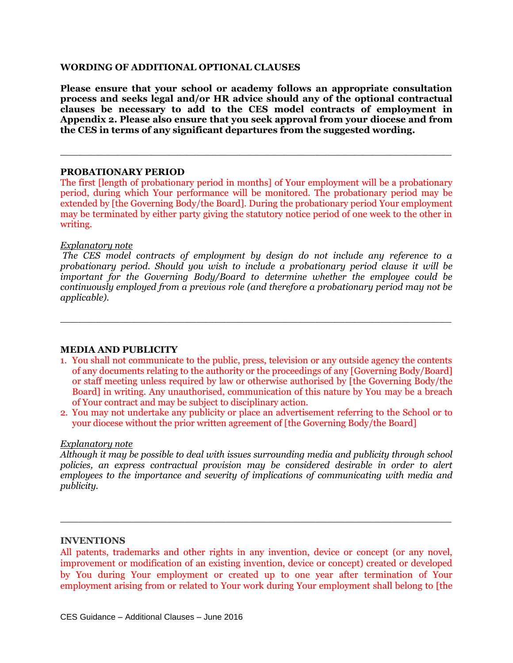#### **WORDING OF ADDITIONAL OPTIONAL CLAUSES**

**Please ensure that your school or academy follows an appropriate consultation process and seeks legal and/or HR advice should any of the optional contractual clauses be necessary to add to the CES model contracts of employment in Appendix 2. Please also ensure that you seek approval from your diocese and from the CES in terms of any significant departures from the suggested wording.**

 $\_$  , and the set of the set of the set of the set of the set of the set of the set of the set of the set of the set of the set of the set of the set of the set of the set of the set of the set of the set of the set of th

#### **PROBATIONARY PERIOD**

The first [length of probationary period in months] of Your employment will be a probationary period, during which Your performance will be monitored. The probationary period may be extended by [the Governing Body/the Board]. During the probationary period Your employment may be terminated by either party giving the statutory notice period of one week to the other in writing.

#### *Explanatory note*

*The CES model contracts of employment by design do not include any reference to a probationary period. Should you wish to include a probationary period clause it will be important for the Governing Body/Board to determine whether the employee could be continuously employed from a previous role (and therefore a probationary period may not be applicable).* 

 $\_$  , and the set of the set of the set of the set of the set of the set of the set of the set of the set of the set of the set of the set of the set of the set of the set of the set of the set of the set of the set of th

#### **MEDIA AND PUBLICITY**

- 1. You shall not communicate to the public, press, television or any outside agency the contents of any documents relating to the authority or the proceedings of any [Governing Body/Board] or staff meeting unless required by law or otherwise authorised by [the Governing Body/the Board] in writing. Any unauthorised, communication of this nature by You may be a breach of Your contract and may be subject to disciplinary action.
- 2. You may not undertake any publicity or place an advertisement referring to the School or to your diocese without the prior written agreement of [the Governing Body/the Board]

#### *Explanatory note*

*Although it may be possible to deal with issues surrounding media and publicity through school policies, an express contractual provision may be considered desirable in order to alert employees to the importance and severity of implications of communicating with media and publicity.* 

 $\_$  , and the set of the set of the set of the set of the set of the set of the set of the set of the set of the set of the set of the set of the set of the set of the set of the set of the set of the set of the set of th

#### **INVENTIONS**

All patents, trademarks and other rights in any invention, device or concept (or any novel, improvement or modification of an existing invention, device or concept) created or developed by You during Your employment or created up to one year after termination of Your employment arising from or related to Your work during Your employment shall belong to [the